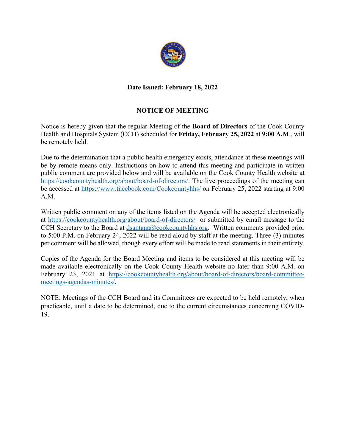

# **Date Issued: February 18, 2022**

# **NOTICE OF MEETING**

Notice is hereby given that the regular Meeting of the **Board of Directors** of the Cook County Health and Hospitals System (CCH) scheduled for **Friday, February 25, 2022** at **9:00 A.M**., will be remotely held.

Due to the determination that a public health emergency exists, attendance at these meetings will be by remote means only. Instructions on how to attend this meeting and participate in written public comment are provided below and will be available on the Cook County Health website at https://cookcountyhealth.org/about/board-of-directors/. The live proceedings of the meeting can be accessed at https://www.facebook.com/Cookcountyhhs/ on February 25, 2022 starting at 9:00 A.M.

Written public comment on any of the items listed on the Agenda will be accepted electronically at https://cookcountyhealth.org/about/board-of-directors/ or submitted by email message to the CCH Secretary to the Board at dsantana@cookcountyhhs.org. Written comments provided prior to 5:00 P.M. on February 24, 2022 will be read aloud by staff at the meeting. Three (3) minutes per comment will be allowed, though every effort will be made to read statements in their entirety.

Copies of the Agenda for the Board Meeting and items to be considered at this meeting will be made available electronically on the Cook County Health website no later than 9:00 A.M. on February 23, 2021 at https://cookcountyhealth.org/about/board-of-directors/board-committeemeetings-agendas-minutes/.

NOTE: Meetings of the CCH Board and its Committees are expected to be held remotely, when practicable, until a date to be determined, due to the current circumstances concerning COVID-19.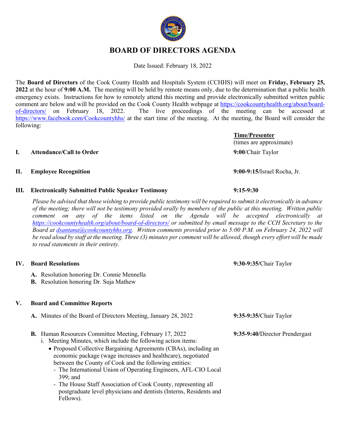# **BOARD OF DIRECTORS AGENDA**

Date Issued: February 18, 2022

The **Board of Directors** of the Cook County Health and Hospitals System (CCHHS) will meet on **Friday, February 25, 2022** at the hour of **9:00 A.M.** The meeting will be held by remote means only, due to the determination that a public health emergency exists. Instructions for how to remotely attend this meeting and provide electronically submitted written public comment are below and will be provided on the Cook County Health webpage at https://cookcountyhealth.org/about/boardof-directors/ on February 18, 2022. The live proceedings of the meeting can be accessed at https://www.facebook.com/Cookcountyhhs/ at the start time of the meeting. At the meeting, the Board will consider the following:

### **I. Attendance/Call to Order 9:00**/Chair Taylor

### **II. Employee Recognition 9:00-9:15/**Israel Rocha, Jr.

**III. Electronically Submitted Public Speaker Testimony 9:15-9:30**

*Please be advised that those wishing to provide public testimony will be required to submit it electronically in advance of the meeting; there will not be testimony provided orally by members of the public at this meeting. Written public comment on any of the items listed on the Agenda will be accepted electronically at https://cookcountyhealth.org/about/board-of-directors/ or submitted by email message to the CCH Secretary to the Board at dsantana@cookcountyhhs.org. Written comments provided prior to 5:00 P.M. on February 24, 2022 will be read aloud by staff at the meeting. Three (3) minutes per comment will be allowed, though every effort will be made to read statements in their entirety.*

# **IV. Board Resolutions 9:30-9:35/**Chair Taylor

- **A.** Resolution honoring Dr. Connie Mennella
- **B.** Resolution honoring Dr. Suja Mathew

# **V. Board and Committee Reports**

| A. Minutes of the Board of Directors Meeting, January 28, 2022                                                                  | 9:35-9:35/Chair Taylor         |
|---------------------------------------------------------------------------------------------------------------------------------|--------------------------------|
| <b>B.</b> Human Resources Committee Meeting, February 17, 2022<br>i. Meeting Minutes, which include the following action items: | 9:35-9:40/Director Prendergast |
| • Proposed Collective Bargaining Agreements (CBAs), including an                                                                |                                |

between the County of Cook and the following entities: - The International Union of Operating Engineers, AFL-CIO Local 399; and

economic package (wage increases and healthcare), negotiated

- The House Staff Association of Cook County, representing all postgraduate level physicians and dentists (Interns, Residents and Fellows).

**Time/Presenter** (times are approximate)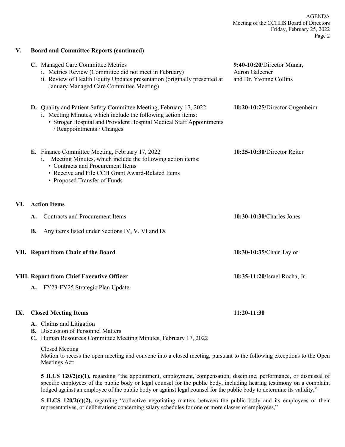|     | C. Managed Care Committee Metrics<br>i. Metrics Review (Committee did not meet in February)<br>ii. Review of Health Equity Updates presentation (originally presented at                                                                     | 9:40-10:20/Director Munar,<br>Aaron Galeener<br>and Dr. Yvonne Collins |
|-----|----------------------------------------------------------------------------------------------------------------------------------------------------------------------------------------------------------------------------------------------|------------------------------------------------------------------------|
|     | January Managed Care Committee Meeting)                                                                                                                                                                                                      |                                                                        |
|     | D. Quality and Patient Safety Committee Meeting, February 17, 2022<br>i. Meeting Minutes, which include the following action items:<br>• Stroger Hospital and Provident Hospital Medical Staff Appointments<br>/ Reappointments / Changes    | 10:20-10:25/Director Gugenheim                                         |
|     | E. Finance Committee Meeting, February 17, 2022<br>Meeting Minutes, which include the following action items:<br>1.<br>• Contracts and Procurement Items<br>• Receive and File CCH Grant Award-Related Items<br>• Proposed Transfer of Funds | 10:25-10:30/Director Reiter                                            |
| VI. | <b>Action Items</b>                                                                                                                                                                                                                          |                                                                        |
|     | <b>Contracts and Procurement Items</b><br>A.                                                                                                                                                                                                 | 10:30-10:30/Charles Jones                                              |
|     | <b>B.</b><br>Any items listed under Sections IV, V, VI and IX                                                                                                                                                                                |                                                                        |
|     | VII. Report from Chair of the Board                                                                                                                                                                                                          | 10:30-10:35/Chair Taylor                                               |
|     | <b>VIII. Report from Chief Executive Officer</b>                                                                                                                                                                                             | 10:35-11:20/Israel Rocha, Jr.                                          |
|     | FY23-FY25 Strategic Plan Update<br><b>A.</b>                                                                                                                                                                                                 |                                                                        |
| IX. | <b>Closed Meeting Items</b>                                                                                                                                                                                                                  | 11:20-11:30                                                            |

- **A.** Claims and Litigation
- **B.** Discussion of Personnel Matters

**V. Board and Committee Reports (continued)**

**C.** Human Resources Committee Meeting Minutes, February 17, 2022

### Closed Meeting

Motion to recess the open meeting and convene into a closed meeting, pursuant to the following exceptions to the Open Meetings Act:

**5 ILCS 120/2(c)(1),** regarding "the appointment, employment, compensation, discipline, performance, or dismissal of specific employees of the public body or legal counsel for the public body, including hearing testimony on a complaint lodged against an employee of the public body or against legal counsel for the public body to determine its validity,"

**5 ILCS 120/2(c)(2),** regarding "collective negotiating matters between the public body and its employees or their representatives, or deliberations concerning salary schedules for one or more classes of employees,"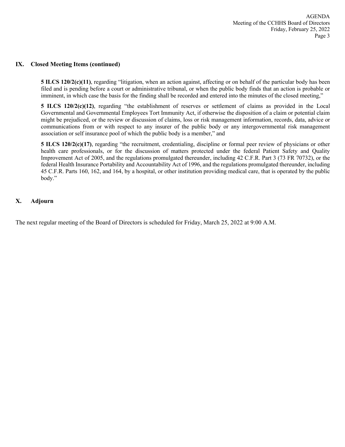### **IX. Closed Meeting Items (continued)**

**5 ILCS 120/2(c)(11)**, regarding "litigation, when an action against, affecting or on behalf of the particular body has been filed and is pending before a court or administrative tribunal, or when the public body finds that an action is probable or imminent, in which case the basis for the finding shall be recorded and entered into the minutes of the closed meeting,"

**5 ILCS 120/2(c)(12)**, regarding "the establishment of reserves or settlement of claims as provided in the Local Governmental and Governmental Employees Tort Immunity Act, if otherwise the disposition of a claim or potential claim might be prejudiced, or the review or discussion of claims, loss or risk management information, records, data, advice or communications from or with respect to any insurer of the public body or any intergovernmental risk management association or self insurance pool of which the public body is a member," and

**5 ILCS 120/2(c)(17)**, regarding "the recruitment, credentialing, discipline or formal peer review of physicians or other health care professionals, or for the discussion of matters protected under the federal Patient Safety and Quality Improvement Act of 2005, and the regulations promulgated thereunder, including 42 C.F.R. Part 3 (73 FR 70732), or the federal Health Insurance Portability and Accountability Act of 1996, and the regulations promulgated thereunder, including 45 C.F.R. Parts 160, 162, and 164, by a hospital, or other institution providing medical care, that is operated by the public body."

### **X. Adjourn**

The next regular meeting of the Board of Directors is scheduled for Friday, March 25, 2022 at 9:00 A.M.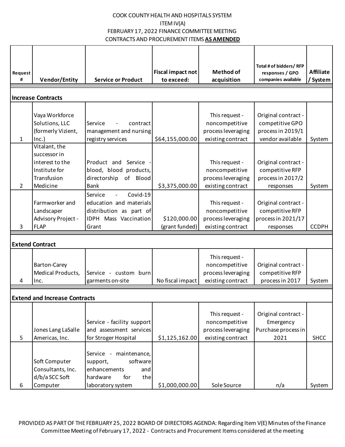| Request                   |                                      |                                                 | Fiscal impact not | <b>Method of</b>                 | Total # of bidders/ RFP<br>responses / GPO | <b>Affiliate</b> |  |  |
|---------------------------|--------------------------------------|-------------------------------------------------|-------------------|----------------------------------|--------------------------------------------|------------------|--|--|
| #                         | <b>Vendor/Entity</b>                 | <b>Service or Product</b>                       | to exceed:        | acquisition                      | companies available                        | / System         |  |  |
| <b>Increase Contracts</b> |                                      |                                                 |                   |                                  |                                            |                  |  |  |
|                           |                                      |                                                 |                   |                                  |                                            |                  |  |  |
|                           | Vaya Workforce                       |                                                 |                   | This request -                   | Original contract -                        |                  |  |  |
|                           | Solutions, LLC                       | Service<br>contract                             |                   | noncompetitive                   | competitive GPO                            |                  |  |  |
|                           | (formerly Vizient,                   | management and nursing                          |                   | process leveraging               | process in 2019/1                          |                  |  |  |
| 1                         | $lnc.$ )<br>Vitalant, the            | registry services                               | \$64,155,000.00   | existing contract                | vendor available                           | System           |  |  |
|                           | successor in                         |                                                 |                   |                                  |                                            |                  |  |  |
|                           | interest to the                      | Product and<br>Service -                        |                   | This request -                   | Original contract -                        |                  |  |  |
|                           | Institute for                        | blood, blood products,                          |                   | noncompetitive                   | competitive RFP                            |                  |  |  |
|                           | Transfusion                          | of Blood<br>directorship                        |                   | process leveraging               | process in 2017/2                          |                  |  |  |
| $\overline{2}$            | Medicine                             | <b>Bank</b>                                     | \$3,375,000.00    | existing contract                | responses                                  | System           |  |  |
|                           |                                      | Covid-19<br>Service<br>$\overline{\phantom{a}}$ |                   |                                  |                                            |                  |  |  |
|                           | Farmworker and                       | education and materials                         |                   | This request -                   | Original contract -                        |                  |  |  |
|                           | Landscaper                           | distribution as part of                         |                   | noncompetitive                   | competitive RFP                            |                  |  |  |
|                           | Advisory Project -                   | IDPH Mass Vaccination                           | \$120,000.00      | process leveraging               | process in 2021/17                         |                  |  |  |
| 3                         | <b>FLAP</b>                          | Grant                                           | (grant funded)    | existing contract                | responses                                  | <b>CCDPH</b>     |  |  |
|                           |                                      |                                                 |                   |                                  |                                            |                  |  |  |
|                           | <b>Extend Contract</b>               |                                                 |                   |                                  |                                            |                  |  |  |
|                           |                                      |                                                 |                   | This request -                   |                                            |                  |  |  |
|                           | Barton-Carey                         |                                                 |                   | noncompetitive                   | Original contract -                        |                  |  |  |
|                           | Medical Products,                    | Service - custom burn                           |                   | process leveraging               | competitive RFP                            |                  |  |  |
| 4                         | Inc.                                 | garments on-site                                | No fiscal impact  | existing contract                | process in 2017                            | System           |  |  |
|                           |                                      |                                                 |                   |                                  |                                            |                  |  |  |
|                           | <b>Extend and increase Contracts</b> |                                                 |                   |                                  |                                            |                  |  |  |
|                           |                                      |                                                 |                   |                                  | Original contract -                        |                  |  |  |
|                           |                                      | Service - facility support                      |                   | This request -<br>noncompetitive | Emergency                                  |                  |  |  |
|                           | Jones Lang LaSalle                   | and assessment services                         |                   | process leveraging               | Purchase process in                        |                  |  |  |
| 5                         | Americas, Inc.                       | for Stroger Hospital                            | \$1,125,162.00    | existing contract                | 2021                                       | <b>SHCC</b>      |  |  |
|                           |                                      |                                                 |                   |                                  |                                            |                  |  |  |
|                           |                                      | Service - maintenance,                          |                   |                                  |                                            |                  |  |  |
|                           | Soft Computer                        | software<br>support,                            |                   |                                  |                                            |                  |  |  |
|                           | Consultants, Inc.                    | enhancements<br>and                             |                   |                                  |                                            |                  |  |  |
|                           | d/b/a SCC Soft                       | the<br>hardware<br>for                          |                   |                                  |                                            |                  |  |  |
| 6                         | Computer                             | laboratory system                               | \$1,000,000.00    | Sole Source                      | n/a                                        | System           |  |  |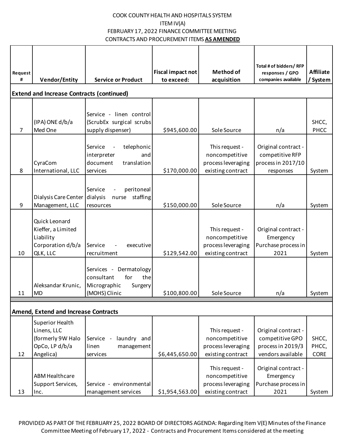| Request        |                                                  |                                                     | <b>Fiscal impact not</b> | <b>Method of</b>                 | Total # of bidders/RFP<br>responses / GPO | <b>Affiliate</b> |  |  |
|----------------|--------------------------------------------------|-----------------------------------------------------|--------------------------|----------------------------------|-------------------------------------------|------------------|--|--|
| #              | <b>Vendor/Entity</b>                             | <b>Service or Product</b>                           | to exceed:               | acquisition                      | companies available                       | / System         |  |  |
|                | <b>Extend and Increase Contracts (continued)</b> |                                                     |                          |                                  |                                           |                  |  |  |
|                |                                                  |                                                     |                          |                                  |                                           |                  |  |  |
|                |                                                  | Service - linen control                             |                          |                                  |                                           |                  |  |  |
|                | (IPA) ONE d/b/a                                  | (ScrubEx surgical scrubs                            |                          |                                  |                                           | SHCC,            |  |  |
| $\overline{7}$ | Med One                                          | supply dispenser)                                   | \$945,600.00             | Sole Source                      | n/a                                       | PHCC             |  |  |
|                |                                                  |                                                     |                          |                                  |                                           |                  |  |  |
|                |                                                  | telephonic<br>Service<br>and<br>interpreter         |                          | This request -<br>noncompetitive | Original contract -<br>competitive RFP    |                  |  |  |
|                | CyraCom                                          | document<br>translation                             |                          | process leveraging               | process in 2017/10                        |                  |  |  |
| 8              | International, LLC                               | services                                            | \$170,000.00             | existing contract                | responses                                 | System           |  |  |
|                |                                                  |                                                     |                          |                                  |                                           |                  |  |  |
|                |                                                  | Service<br>peritoneal                               |                          |                                  |                                           |                  |  |  |
|                | Dialysis Care Center                             | staffing<br>dialysis<br>nurse                       |                          |                                  |                                           |                  |  |  |
| 9              | Management, LLC                                  | resources                                           | \$150,000.00             | Sole Source                      | n/a                                       | System           |  |  |
|                |                                                  |                                                     |                          |                                  |                                           |                  |  |  |
|                | Quick Leonard<br>Kieffer, a Limited              |                                                     |                          | This request -                   | Original contract -                       |                  |  |  |
|                | Liability                                        |                                                     |                          | noncompetitive                   | Emergency                                 |                  |  |  |
|                | Corporation d/b/a                                | Service<br>executive                                |                          | process leveraging               | Purchase process in                       |                  |  |  |
| 10             | QLK, LLC                                         | recruitment                                         | \$129,542.00             | existing contract                | 2021                                      | System           |  |  |
|                |                                                  |                                                     |                          |                                  |                                           |                  |  |  |
|                |                                                  | Dermatology<br>Services -                           |                          |                                  |                                           |                  |  |  |
|                | Aleksandar Krunic,                               | consultant<br>for<br>the<br>Micrographic<br>Surgery |                          |                                  |                                           |                  |  |  |
| 11             | <b>MD</b>                                        | (MOHS) Clinic                                       | \$100,800.00             | Sole Source                      | n/a                                       | System           |  |  |
|                |                                                  |                                                     |                          |                                  |                                           |                  |  |  |
|                | <b>Amend, Extend and Increase Contracts</b>      |                                                     |                          |                                  |                                           |                  |  |  |
|                | Superior Health                                  |                                                     |                          |                                  |                                           |                  |  |  |
|                | Linens, LLC                                      |                                                     |                          | This request -                   | Original contract -                       |                  |  |  |
|                | (formerly 9W Halo                                | laundry and<br>Service -                            |                          | noncompetitive                   | competitive GPO                           | SHCC,            |  |  |
|                | OpCo, LP d/b/a                                   | linen<br>management                                 |                          | process leveraging               | process in 2019/3                         | PHCC,            |  |  |
| 12             | Angelica)                                        | services                                            | \$6,445,650.00           | existing contract                | vendors available                         | CORE             |  |  |
|                |                                                  |                                                     |                          | This request -                   | Original contract -                       |                  |  |  |
|                | <b>ABM Healthcare</b>                            |                                                     |                          | noncompetitive                   | Emergency                                 |                  |  |  |
|                | Support Services,                                | Service - environmental                             |                          | process leveraging               | Purchase process in                       |                  |  |  |
| 13             | Inc.                                             | management services                                 | \$1,954,563.00           | existing contract                | 2021                                      | System           |  |  |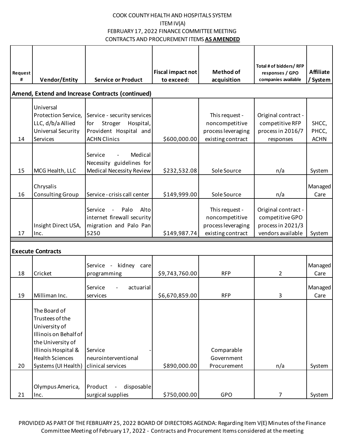| Request                                          |                          |                                                     | <b>Fiscal impact not</b> | <b>Method of</b>   | Total # of bidders/ RFP<br>responses / GPO | <b>Affiliate</b> |
|--------------------------------------------------|--------------------------|-----------------------------------------------------|--------------------------|--------------------|--------------------------------------------|------------------|
| #                                                | <b>Vendor/Entity</b>     | <b>Service or Product</b>                           | to exceed:               | acquisition        | companies available                        | / System         |
| Amend, Extend and Increase Contracts (continued) |                          |                                                     |                          |                    |                                            |                  |
|                                                  | Universal                |                                                     |                          |                    |                                            |                  |
|                                                  | Protection Service,      | Service - security services                         |                          | This request -     | Original contract -                        |                  |
|                                                  | LLC, d/b/a Allied        | Stroger<br>Hospital,<br>for                         |                          | noncompetitive     | competitive RFP                            | SHCC,            |
|                                                  | Universal Security       | Provident Hospital and                              |                          | process leveraging | process in 2016/7                          | PHCC,            |
| 14                                               | Services                 | <b>ACHN Clinics</b>                                 | \$600,000.00             | existing contract  | responses                                  | <b>ACHN</b>      |
|                                                  |                          | Medical                                             |                          |                    |                                            |                  |
|                                                  |                          | Service<br>Necessity guidelines for                 |                          |                    |                                            |                  |
| 15                                               | MCG Health, LLC          | <b>Medical Necessity Review</b>                     | \$232,532.08             | Sole Source        | n/a                                        | System           |
|                                                  |                          |                                                     |                          |                    |                                            |                  |
|                                                  | Chrysalis                |                                                     |                          |                    |                                            | Managed          |
| 16                                               | Consulting Group         | Service - crisis call center                        | \$149,999.00             | Sole Source        | n/a                                        | Care             |
|                                                  |                          | Palo<br>Alto<br>Service<br>$\overline{\phantom{a}}$ |                          | This request -     | Original contract -                        |                  |
|                                                  |                          | internet firewall security                          |                          | noncompetitive     | competitive GPO                            |                  |
|                                                  | Insight Direct USA,      | migration and Palo Pan                              |                          | process leveraging | process in 2021/3                          |                  |
| 17                                               | Inc.                     | 5250                                                | \$149,987.74             | existing contract  | vendors available                          | System           |
|                                                  |                          |                                                     |                          |                    |                                            |                  |
|                                                  | <b>Execute Contracts</b> |                                                     |                          |                    |                                            |                  |
|                                                  |                          | $\overline{\phantom{a}}$                            |                          |                    |                                            | Managed          |
| 18                                               | Cricket                  | kidney care<br>Service<br>programming               | \$9,743,760.00           | <b>RFP</b>         | $\overline{2}$                             | Care             |
|                                                  |                          |                                                     |                          |                    |                                            |                  |
|                                                  |                          | actuarial<br>Service                                |                          |                    |                                            | Managed          |
| 19                                               | Milliman Inc.            | services                                            | \$6,670,859.00           | <b>RFP</b>         | 3                                          | Care             |
|                                                  | The Board of             |                                                     |                          |                    |                                            |                  |
|                                                  | Trustees of the          |                                                     |                          |                    |                                            |                  |
|                                                  | University of            |                                                     |                          |                    |                                            |                  |
|                                                  | Illinois on Behalf of    |                                                     |                          |                    |                                            |                  |
|                                                  | the University of        |                                                     |                          |                    |                                            |                  |
|                                                  | Illinois Hospital &      | Service                                             |                          | Comparable         |                                            |                  |
|                                                  | <b>Health Sciences</b>   | neurointerventional                                 |                          | Government         |                                            |                  |
| 20                                               | Systems (UI Health)      | clinical services                                   | \$890,000.00             | Procurement        | n/a                                        | System           |
|                                                  |                          |                                                     |                          |                    |                                            |                  |
|                                                  | Olympus America,         | Product<br>disposable<br>$\blacksquare$             |                          |                    |                                            |                  |
| 21                                               | Inc.                     | surgical supplies                                   | \$750,000.00             | <b>GPO</b>         | $\overline{7}$                             | System           |